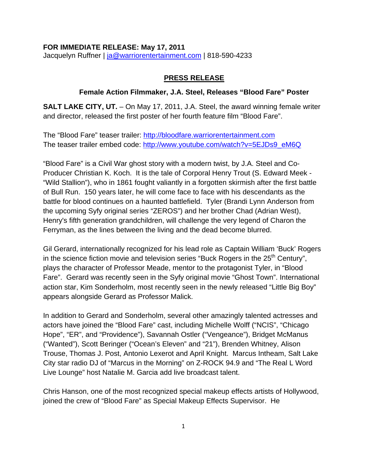### **FOR IMMEDIATE RELEASE: May 17, 2011**

Jacquelyn Ruffner | [ja@warriorentertainment.com](mailto:ja@warriorentertainment.com) | 818-590-4233

### **PRESS RELEASE**

### **Female Action Filmmaker, J.A. Steel, Releases "Blood Fare" Poster**

**SALT LAKE CITY, UT.** – On May 17, 2011, J.A. Steel, the award winning female writer and director, released the first poster of her fourth feature film "Blood Fare".

The "Blood Fare" teaser trailer: [http://bloodfare.warriorentertainment.com](http://bloodfare.warriorentertainment.com/) The teaser trailer embed code: [http://www.youtube.com/watch?v=5EJDs9\\_eM6Q](http://www.youtube.com/watch?v=5EJDs9_eM6Q)

"Blood Fare" is a Civil War ghost story with a modern twist, by J.A. Steel and Co-Producer Christian K. Koch. It is the tale of Corporal Henry Trout (S. Edward Meek - "Wild Stallion"), who in 1861 fought valiantly in a forgotten skirmish after the first battle of Bull Run. 150 years later, he will come face to face with his descendants as the battle for blood continues on a haunted battlefield. Tyler (Brandi Lynn Anderson from the upcoming Syfy original series "ZEROS") and her brother Chad (Adrian West), Henry's fifth generation grandchildren, will challenge the very legend of Charon the Ferryman, as the lines between the living and the dead become blurred.

Gil Gerard, internationally recognized for his lead role as Captain William 'Buck' Rogers in the science fiction movie and television series "Buck Rogers in the  $25<sup>th</sup>$  Century", plays the character of Professor Meade, mentor to the protagonist Tyler, in "Blood Fare". Gerard was recently seen in the Syfy original movie "Ghost Town". International action star, Kim Sonderholm, most recently seen in the newly released "Little Big Boy" appears alongside Gerard as Professor Malick.

In addition to Gerard and Sonderholm, several other amazingly talented actresses and actors have joined the "Blood Fare" cast, including Michelle Wolff ("NCIS", "Chicago Hope", "ER", and "Providence"), Savannah Ostler ("Vengeance"), Bridget McManus ("Wanted"), Scott Beringer ("Ocean's Eleven" and "21"), Brenden Whitney, Alison Trouse, Thomas J. Post, Antonio Lexerot and April Knight. Marcus Intheam, Salt Lake City star radio DJ of "Marcus in the Morning" on Z-ROCK 94.9 and "The Real L Word Live Lounge" host Natalie M. Garcia add live broadcast talent.

Chris Hanson, one of the most recognized special makeup effects artists of Hollywood, joined the crew of "Blood Fare" as Special Makeup Effects Supervisor. He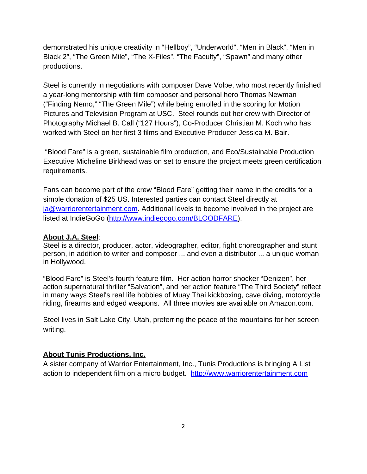demonstrated his unique creativity in "Hellboy", "Underworld", "Men in Black", "Men in Black 2", "The Green Mile", "The X-Files", "The Faculty", "Spawn" and many other productions.

Steel is currently in negotiations with composer Dave Volpe, who most recently finished a year-long mentorship with film composer and personal hero Thomas Newman ("Finding Nemo," "The Green Mile") while being enrolled in the scoring for Motion Pictures and Television Program at USC. Steel rounds out her crew with Director of Photography Michael B. Call ("127 Hours"), Co-Producer Christian M. Koch who has worked with Steel on her first 3 films and Executive Producer Jessica M. Bair.

 "Blood Fare" is a green, sustainable film production, and Eco/Sustainable Production Executive Micheline Birkhead was on set to ensure the project meets green certification requirements.

Fans can become part of the crew "Blood Fare" getting their name in the credits for a simple donation of \$25 US. Interested parties can contact Steel directly at [ja@warriorentertainment.com.](mailto:ja@warriorentertainment.com) Additional levels to become involved in the project are listed at IndieGoGo [\(http://www.indiegogo.com/BLOODFARE\)](http://www.indiegogo.com/BLOODFARE).

## **About J.A. Steel**:

Steel is a director, producer, actor, videographer, editor, fight choreographer and stunt person, in addition to writer and composer ... and even a distributor ... a unique woman in Hollywood.

"Blood Fare" is Steel's fourth feature film. Her action horror shocker "Denizen", her action supernatural thriller "Salvation", and her action feature "The Third Society" reflect in many ways Steel's real life hobbies of Muay Thai kickboxing, cave diving, motorcycle riding, firearms and edged weapons. All three movies are available on Amazon.com.

Steel lives in Salt Lake City, Utah, preferring the peace of the mountains for her screen writing.

### **About Tunis Productions, Inc.**

A sister company of Warrior Entertainment, Inc., Tunis Productions is bringing A List action to independent film on a micro budget. [http://www.warriorentertainment.com](http://www.warriorentertainment.com/)